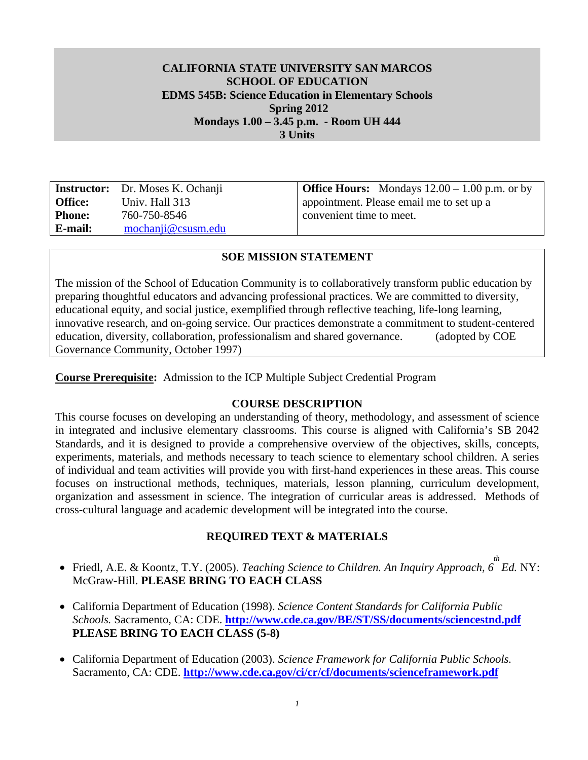## **CALIFORNIA STATE UNIVERSITY SAN MARCOS SCHOOL OF EDUCATION EDMS 545B: Science Education in Elementary Schools Spring 2012 Mondays 1.00 – 3.45 p.m. - Room UH 444 3 Units**

**Instructor: Office: Phone: E-mail:**  Dr. Moses K. Ochanji Univ. Hall 313 760-750-8546 mochanji@csusm.edu

**Office Hours:** Mondays  $12.00 - 1.00$  p.m. or by appointment. Please email me to set up a convenient time to meet.

### **SOE MISSION STATEMENT**

The mission of the School of Education Community is to collaboratively transform public education by preparing thoughtful educators and advancing professional practices. We are committed to diversity, educational equity, and social justice, exemplified through reflective teaching, life-long learning, innovative research, and on-going service. Our practices demonstrate a commitment to student-centered education, diversity, collaboration, professionalism and shared governance. (adopted by COE Governance Community, October 1997)

**Course Prerequisite:** Admission to the ICP Multiple Subject Credential Program

## **COURSE DESCRIPTION**

This course focuses on developing an understanding of theory, methodology, and assessment of science in integrated and inclusive elementary classrooms. This course is aligned with California's SB 2042 Standards, and it is designed to provide a comprehensive overview of the objectives, skills, concepts, experiments, materials, and methods necessary to teach science to elementary school children. A series of individual and team activities will provide you with first-hand experiences in these areas. This course focuses on instructional methods, techniques, materials, lesson planning, curriculum development, organization and assessment in science. The integration of curricular areas is addressed. Methods of cross-cultural language and academic development will be integrated into the course.

## **REQUIRED TEXT & MATERIALS**

- *th*  Friedl, A.E. & Koontz, T.Y. (2005). *Teaching Science to Children. An Inquiry Approach, 6 Ed.* NY: McGraw-Hill. **PLEASE BRING TO EACH CLASS**
- California Department of Education (1998). *Science Content Standards for California Public Schools.* Sacramento, CA: CDE. **http://www.cde.ca.gov/BE/ST/SS/documents/sciencestnd.pdf PLEASE BRING TO EACH CLASS (5-8)**
- California Department of Education (2003). *Science Framework for California Public Schools.*  Sacramento, CA: CDE. **http://www.cde.ca.gov/ci/cr/cf/documents/scienceframework.pdf**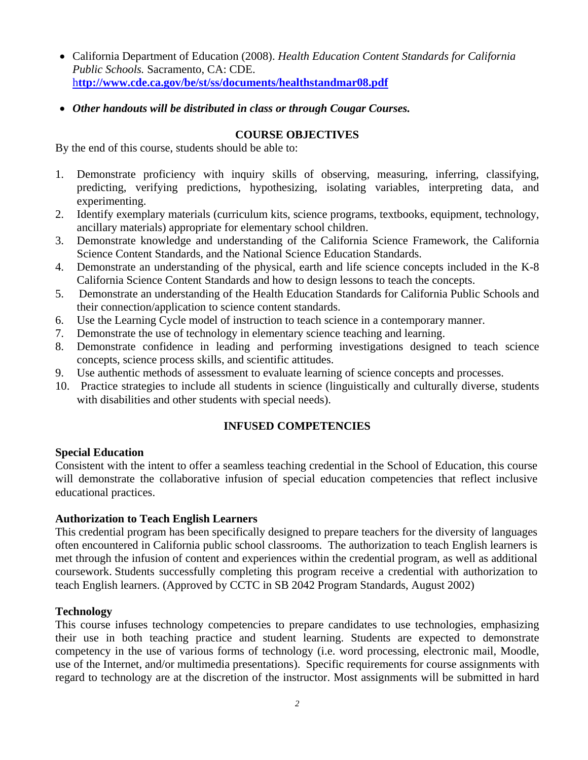- California Department of Education (2008). *Health Education Content Standards for California Public Schools.* Sacramento, CA: CDE. h**ttp://www.cde.ca.gov/be/st/ss/documents/healthstandmar08.pdf**
- *Other handouts will be distributed in class or through Cougar Courses.*

## **COURSE OBJECTIVES**

By the end of this course, students should be able to:

- 1. Demonstrate proficiency with inquiry skills of observing, measuring, inferring, classifying, predicting, verifying predictions, hypothesizing, isolating variables, interpreting data, and experimenting.
- 2. Identify exemplary materials (curriculum kits, science programs, textbooks, equipment, technology, ancillary materials) appropriate for elementary school children.
- 3. Demonstrate knowledge and understanding of the California Science Framework, the California Science Content Standards, and the National Science Education Standards.
- 4. Demonstrate an understanding of the physical, earth and life science concepts included in the K-8 California Science Content Standards and how to design lessons to teach the concepts.
- 5. Demonstrate an understanding of the Health Education Standards for California Public Schools and their connection/application to science content standards.
- 6. Use the Learning Cycle model of instruction to teach science in a contemporary manner.
- 7. Demonstrate the use of technology in elementary science teaching and learning.
- 8. Demonstrate confidence in leading and performing investigations designed to teach science concepts, science process skills, and scientific attitudes.
- 9. Use authentic methods of assessment to evaluate learning of science concepts and processes.
- 10. Practice strategies to include all students in science (linguistically and culturally diverse, students with disabilities and other students with special needs).

## **INFUSED COMPETENCIES**

#### **Special Education**

Consistent with the intent to offer a seamless teaching credential in the School of Education, this course will demonstrate the collaborative infusion of special education competencies that reflect inclusive educational practices.

#### **Authorization to Teach English Learners**

This credential program has been specifically designed to prepare teachers for the diversity of languages often encountered in California public school classrooms. The authorization to teach English learners is met through the infusion of content and experiences within the credential program, as well as additional coursework. Students successfully completing this program receive a credential with authorization to teach English learners. (Approved by CCTC in SB 2042 Program Standards, August 2002)

#### **Technology**

This course infuses technology competencies to prepare candidates to use technologies, emphasizing their use in both teaching practice and student learning. Students are expected to demonstrate competency in the use of various forms of technology (i.e. word processing, electronic mail, Moodle, use of the Internet, and/or multimedia presentations). Specific requirements for course assignments with regard to technology are at the discretion of the instructor. Most assignments will be submitted in hard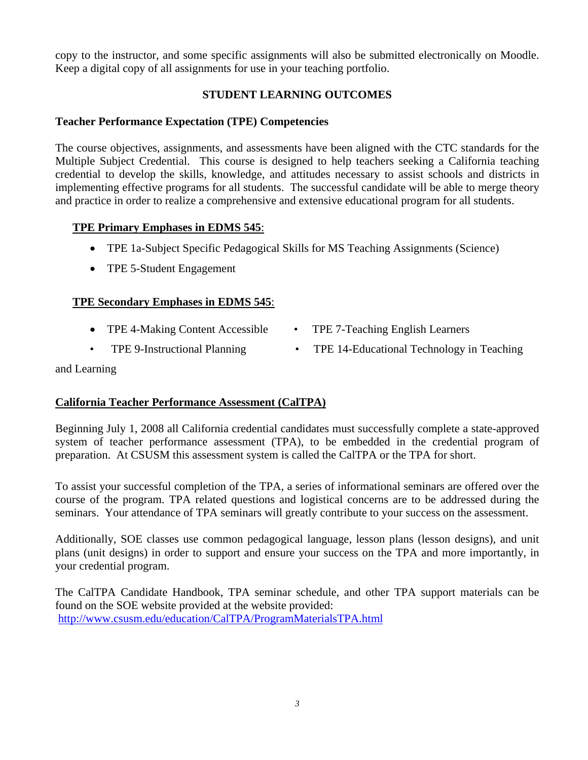copy to the instructor, and some specific assignments will also be submitted electronically on Moodle. Keep a digital copy of all assignments for use in your teaching portfolio.

# **STUDENT LEARNING OUTCOMES**

## **Teacher Performance Expectation (TPE) Competencies**

The course objectives, assignments, and assessments have been aligned with the CTC standards for the Multiple Subject Credential. This course is designed to help teachers seeking a California teaching credential to develop the skills, knowledge, and attitudes necessary to assist schools and districts in implementing effective programs for all students. The successful candidate will be able to merge theory and practice in order to realize a comprehensive and extensive educational program for all students.

## **TPE Primary Emphases in EDMS 545**:

- TPE 1a-Subject Specific Pedagogical Skills for MS Teaching Assignments (Science)
- TPE 5-Student Engagement

# **TPE Secondary Emphases in EDMS 545**:

- TPE 4-Making Content Accessible TPE 7-Teaching English Learners
- 
- 
- TPE 9-Instructional Planning TPE 14-Educational Technology in Teaching

and Learning

## **California Teacher Performance Assessment (CalTPA)**

Beginning July 1, 2008 all California credential candidates must successfully complete a state-approved system of teacher performance assessment (TPA), to be embedded in the credential program of preparation. At CSUSM this assessment system is called the CalTPA or the TPA for short.

To assist your successful completion of the TPA, a series of informational seminars are offered over the course of the program. TPA related questions and logistical concerns are to be addressed during the seminars. Your attendance of TPA seminars will greatly contribute to your success on the assessment.

Additionally, SOE classes use common pedagogical language, lesson plans (lesson designs), and unit plans (unit designs) in order to support and ensure your success on the TPA and more importantly, in your credential program.

 http://www.csusm.edu/education/CalTPA/ProgramMaterialsTPA.html The CalTPA Candidate Handbook, TPA seminar schedule, and other TPA support materials can be found on the SOE website provided at the website provided: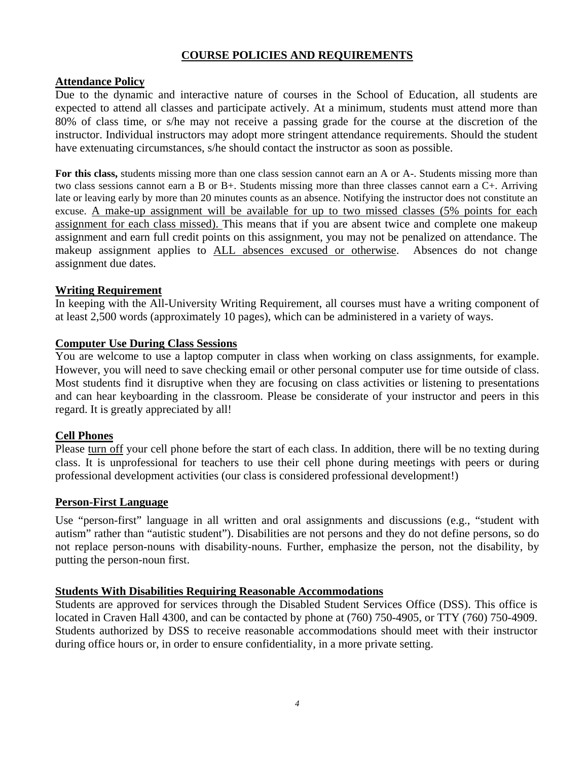## **COURSE POLICIES AND REQUIREMENTS**

### **Attendance Policy**

Due to the dynamic and interactive nature of courses in the School of Education, all students are expected to attend all classes and participate actively. At a minimum, students must attend more than 80% of class time, or s/he may not receive a passing grade for the course at the discretion of the instructor. Individual instructors may adopt more stringent attendance requirements. Should the student have extenuating circumstances, s/he should contact the instructor as soon as possible.

**For this class,** students missing more than one class session cannot earn an A or A-. Students missing more than two class sessions cannot earn a B or B+. Students missing more than three classes cannot earn a C+. Arriving late or leaving early by more than 20 minutes counts as an absence. Notifying the instructor does not constitute an excuse. A make-up assignment will be available for up to two missed classes (5% points for each assignment for each class missed). This means that if you are absent twice and complete one makeup assignment and earn full credit points on this assignment, you may not be penalized on attendance. The makeup assignment applies to ALL absences excused or otherwise. Absences do not change assignment due dates.

### **Writing Requirement**

In keeping with the All-University Writing Requirement, all courses must have a writing component of at least 2,500 words (approximately 10 pages), which can be administered in a variety of ways.

### **Computer Use During Class Sessions**

You are welcome to use a laptop computer in class when working on class assignments, for example. However, you will need to save checking email or other personal computer use for time outside of class. Most students find it disruptive when they are focusing on class activities or listening to presentations and can hear keyboarding in the classroom. Please be considerate of your instructor and peers in this regard. It is greatly appreciated by all!

## **Cell Phones**

Please turn off your cell phone before the start of each class. In addition, there will be no texting during class. It is unprofessional for teachers to use their cell phone during meetings with peers or during professional development activities (our class is considered professional development!)

## **Person-First Language**

Use "person-first" language in all written and oral assignments and discussions (e.g., "student with autism" rather than "autistic student"). Disabilities are not persons and they do not define persons, so do not replace person-nouns with disability-nouns. Further, emphasize the person, not the disability, by putting the person-noun first.

#### **Students With Disabilities Requiring Reasonable Accommodations**

Students are approved for services through the Disabled Student Services Office (DSS). This office is located in Craven Hall 4300, and can be contacted by phone at (760) 750-4905, or TTY (760) 750-4909. Students authorized by DSS to receive reasonable accommodations should meet with their instructor during office hours or, in order to ensure confidentiality, in a more private setting.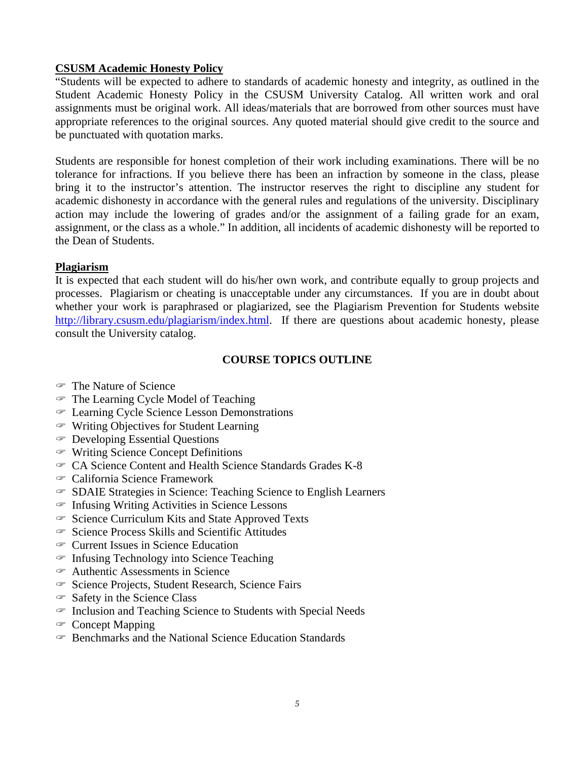## **CSUSM Academic Honesty Policy**

"Students will be expected to adhere to standards of academic honesty and integrity, as outlined in the Student Academic Honesty Policy in the CSUSM University Catalog. All written work and oral assignments must be original work. All ideas/materials that are borrowed from other sources must have appropriate references to the original sources. Any quoted material should give credit to the source and be punctuated with quotation marks.

Students are responsible for honest completion of their work including examinations. There will be no tolerance for infractions. If you believe there has been an infraction by someone in the class, please bring it to the instructor's attention. The instructor reserves the right to discipline any student for academic dishonesty in accordance with the general rules and regulations of the university. Disciplinary action may include the lowering of grades and/or the assignment of a failing grade for an exam, assignment, or the class as a whole." In addition, all incidents of academic dishonesty will be reported to the Dean of Students.

#### **Plagiarism**

It is expected that each student will do his/her own work, and contribute equally to group projects and processes. Plagiarism or cheating is unacceptable under any circumstances. If you are in doubt about whether your work is paraphrased or plagiarized, see the Plagiarism Prevention for Students website http://library.csusm.edu/plagiarism/index.html. If there are questions about academic honesty, please consult the University catalog.

## **COURSE TOPICS OUTLINE**

- The Nature of Science
- The Learning Cycle Model of Teaching
- Learning Cycle Science Lesson Demonstrations
- Writing Objectives for Student Learning
- Developing Essential Questions
- Writing Science Concept Definitions
- CA Science Content and Health Science Standards Grades K-8
- California Science Framework
- SDAIE Strategies in Science: Teaching Science to English Learners
- $\in$  Infusing Writing Activities in Science Lessons
- $\epsilon$  Science Curriculum Kits and State Approved Texts
- $\mathcal{S}$  Science Process Skills and Scientific Attitudes
- Current Issues in Science Education
- $\in$  Infusing Technology into Science Teaching
- Authentic Assessments in Science
- $\mathcal{F}$  Science Projects, Student Research, Science Fairs
- $\mathcal{F}$  Safety in the Science Class
- $\mathcal F$  Inclusion and Teaching Science to Students with Special Needs
- $\infty$  Concept Mapping
- $\epsilon$  Benchmarks and the National Science Education Standards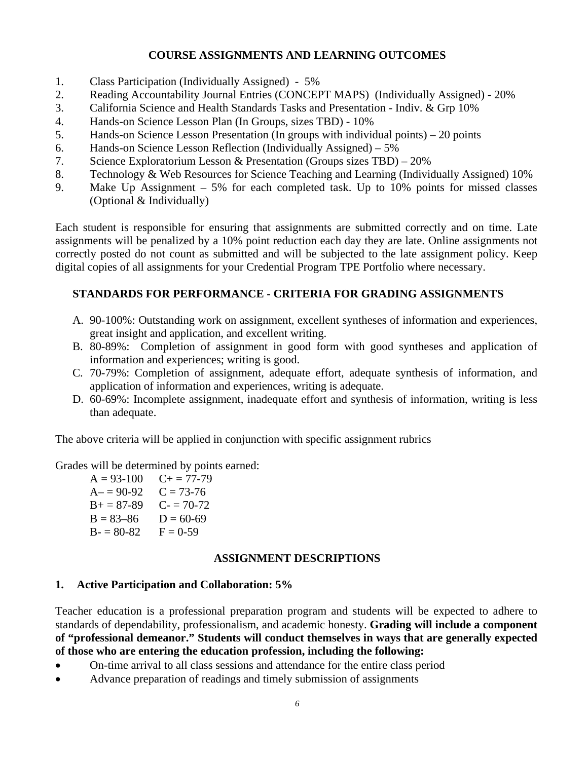## **COURSE ASSIGNMENTS AND LEARNING OUTCOMES**

- 1. Class Participation (Individually Assigned) 5%
- 2. Reading Accountability Journal Entries (CONCEPT MAPS) (Individually Assigned) 20%
- 3. California Science and Health Standards Tasks and Presentation Indiv. & Grp 10%
- 4. Hands-on Science Lesson Plan (In Groups, sizes TBD) 10%
- 5. Hands-on Science Lesson Presentation (In groups with individual points) 20 points
- 6. Hands-on Science Lesson Reflection (Individually Assigned)  $-5\%$
- 7. Science Exploratorium Lesson & Presentation (Groups sizes TBD) 20%
- 8. Technology & Web Resources for Science Teaching and Learning (Individually Assigned) 10%
- 9. Make Up Assignment 5% for each completed task. Up to 10% points for missed classes (Optional & Individually)

Each student is responsible for ensuring that assignments are submitted correctly and on time. Late assignments will be penalized by a 10% point reduction each day they are late. Online assignments not correctly posted do not count as submitted and will be subjected to the late assignment policy. Keep digital copies of all assignments for your Credential Program TPE Portfolio where necessary.

## **STANDARDS FOR PERFORMANCE - CRITERIA FOR GRADING ASSIGNMENTS**

- A. 90-100%: Outstanding work on assignment, excellent syntheses of information and experiences, great insight and application, and excellent writing.
- B. 80-89%: Completion of assignment in good form with good syntheses and application of information and experiences; writing is good.
- C. 70-79%: Completion of assignment, adequate effort, adequate synthesis of information, and application of information and experiences, writing is adequate.
- D. 60-69%: Incomplete assignment, inadequate effort and synthesis of information, writing is less than adequate.

The above criteria will be applied in conjunction with specific assignment rubrics

Grades will be determined by points earned:<br> $A = 93-100 \t C+= 77-79$ 

| $C_{+} = 77 - 79$ |
|-------------------|
| $C = 73-76$       |
| $C = 70-72$       |
| $D = 60-69$       |
| $F = 0-59$        |
|                   |

#### **ASSIGNMENT DESCRIPTIONS**

### **1. Active Participation and Collaboration: 5%**

Teacher education is a professional preparation program and students will be expected to adhere to standards of dependability, professionalism, and academic honesty. **Grading will include a component of "professional demeanor." Students will conduct themselves in ways that are generally expected of those who are entering the education profession, including the following:** 

- On-time arrival to all class sessions and attendance for the entire class period
- Advance preparation of readings and timely submission of assignments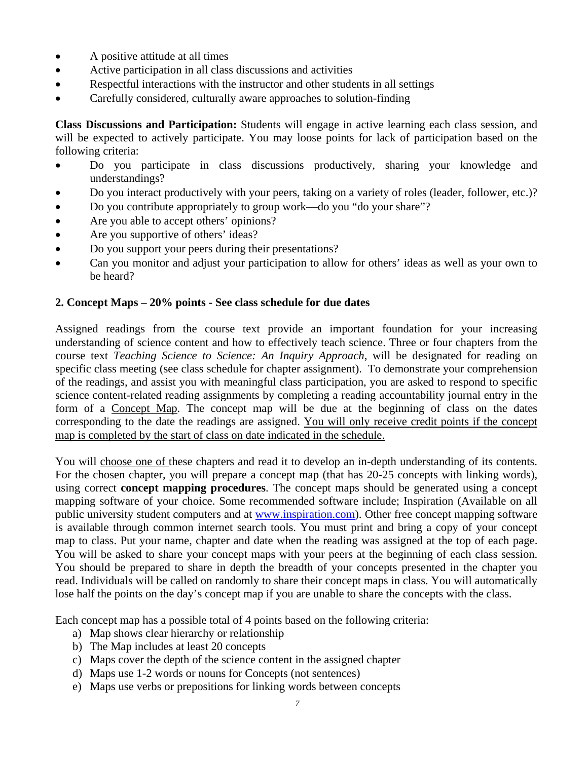- A positive attitude at all times
- Active participation in all class discussions and activities
- Respectful interactions with the instructor and other students in all settings
- Carefully considered, culturally aware approaches to solution-finding

**Class Discussions and Participation:** Students will engage in active learning each class session, and will be expected to actively participate. You may loose points for lack of participation based on the following criteria:

- Do you participate in class discussions productively, sharing your knowledge and understandings?
- Do you interact productively with your peers, taking on a variety of roles (leader, follower, etc.)?
- Do you contribute appropriately to group work—do you "do your share"?
- Are you able to accept others' opinions?
- Are you supportive of others' ideas?
- Do you support your peers during their presentations?
- Can you monitor and adjust your participation to allow for others' ideas as well as your own to be heard?

# **2. Concept Maps – 20% points - See class schedule for due dates**

map is completed by the start of class on date indicated in the schedule. Assigned readings from the course text provide an important foundation for your increasing understanding of science content and how to effectively teach science. Three or four chapters from the course text *Teaching Science to Science: An Inquiry Approach*, will be designated for reading on specific class meeting (see class schedule for chapter assignment). To demonstrate your comprehension of the readings, and assist you with meaningful class participation, you are asked to respond to specific science content-related reading assignments by completing a reading accountability journal entry in the form of a Concept Map. The concept map will be due at the beginning of class on the dates corresponding to the date the readings are assigned. You will only receive credit points if the concept

You will choose one of these chapters and read it to develop an in-depth understanding of its contents. For the chosen chapter, you will prepare a concept map (that has 20-25 concepts with linking words), using correct **concept mapping procedures**. The concept maps should be generated using a concept mapping software of your choice. Some recommended software include; Inspiration (Available on all public university student computers and at www.inspiration.com). Other free concept mapping software is available through common internet search tools. You must print and bring a copy of your concept map to class. Put your name, chapter and date when the reading was assigned at the top of each page. You will be asked to share your concept maps with your peers at the beginning of each class session. You should be prepared to share in depth the breadth of your concepts presented in the chapter you read. Individuals will be called on randomly to share their concept maps in class. You will automatically lose half the points on the day's concept map if you are unable to share the concepts with the class.

Each concept map has a possible total of 4 points based on the following criteria:

- a) Map shows clear hierarchy or relationship
- b) The Map includes at least 20 concepts
- c) Maps cover the depth of the science content in the assigned chapter
- d) Maps use 1-2 words or nouns for Concepts (not sentences)
- e) Maps use verbs or prepositions for linking words between concepts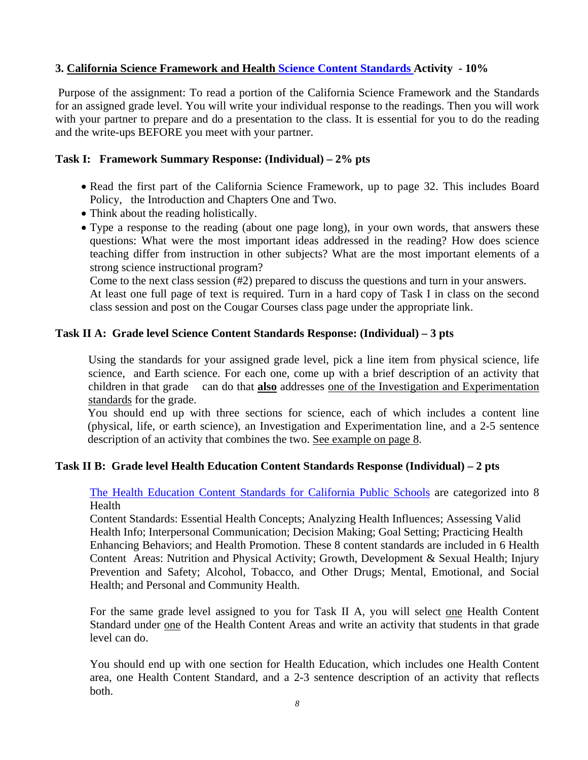## **3. California Science Framework and Health Science Content Standards Activity - 10%**

Purpose of the assignment: To read a portion of the California Science Framework and the Standards for an assigned grade level. You will write your individual response to the readings. Then you will work with your partner to prepare and do a presentation to the class. It is essential for you to do the reading and the write-ups BEFORE you meet with your partner.

### **Task I: Framework Summary Response: (Individual) – 2% pts**

- Read the first part of the California Science Framework, up to page 32. This includes Board Policy, the Introduction and Chapters One and Two.
- Think about the reading holistically.
- Type a response to the reading (about one page long), in your own words, that answers these questions: What were the most important ideas addressed in the reading? How does science teaching differ from instruction in other subjects? What are the most important elements of a strong science instructional program?

Come to the next class session (#2) prepared to discuss the questions and turn in your answers.

At least one full page of text is required. Turn in a hard copy of Task I in class on the second class session and post on the Cougar Courses class page under the appropriate link.

### **Task II A: Grade level Science Content Standards Response: (Individual) – 3 pts**

 children in that grade can do that **also** addresses one of the Investigation and Experimentation Using the standards for your assigned grade level, pick a line item from physical science, life science, and Earth science. For each one, come up with a brief description of an activity that standards for the grade.

You should end up with three sections for science, each of which includes a content line (physical, life, or earth science), an Investigation and Experimentation line, and a 2-5 sentence description of an activity that combines the two. See example on page 8.

#### **Task II B: Grade level Health Education Content Standards Response (Individual) – 2 pts**

The Health Education Content Standards for California Public Schools are categorized into 8 Health

Content Standards: Essential Health Concepts; Analyzing Health Influences; Assessing Valid Health Info; Interpersonal Communication; Decision Making; Goal Setting; Practicing Health Enhancing Behaviors; and Health Promotion. These 8 content standards are included in 6 Health Content Areas: Nutrition and Physical Activity; Growth, Development & Sexual Health; Injury Prevention and Safety; Alcohol, Tobacco, and Other Drugs; Mental, Emotional, and Social Health; and Personal and Community Health.

For the same grade level assigned to you for Task II A, you will select one Health Content Standard under one of the Health Content Areas and write an activity that students in that grade level can do.

You should end up with one section for Health Education, which includes one Health Content area, one Health Content Standard, and a 2-3 sentence description of an activity that reflects both.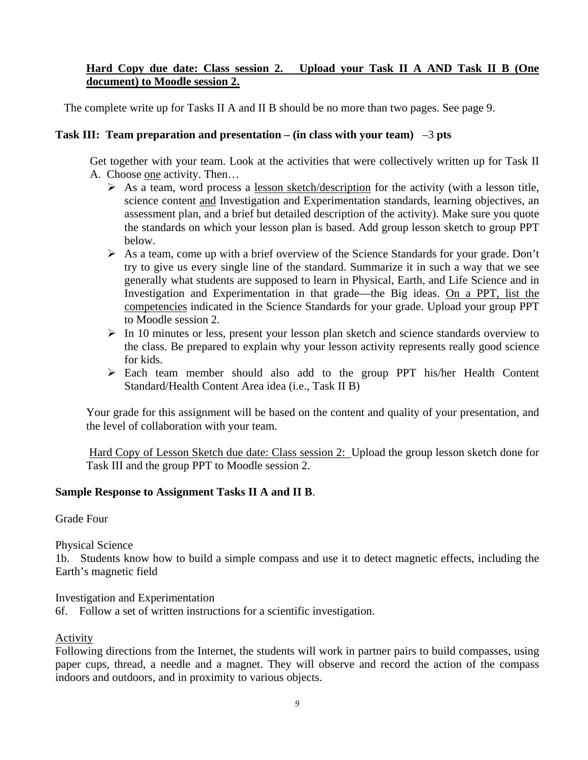## **Hard Copy due date: Class session 2. Upload your Task II A AND Task II B (One document) to Moodle session 2.**

The complete write up for Tasks II A and II B should be no more than two pages. See page 9.

### **Task III: Team preparation and presentation – (in class with your team)** –3 **pts**

Get together with your team. Look at the activities that were collectively written up for Task II A. Choose one activity. Then…

- $\triangleright$  As a team, word process a lesson sketch/description for the activity (with a lesson title, science content and Investigation and Experimentation standards, learning objectives, an assessment plan, and a brief but detailed description of the activity). Make sure you quote the standards on which your lesson plan is based. Add group lesson sketch to group PPT below.
- $\triangleright$  As a team, come up with a brief overview of the Science Standards for your grade. Don't try to give us every single line of the standard. Summarize it in such a way that we see generally what students are supposed to learn in Physical, Earth, and Life Science and in Investigation and Experimentation in that grade—the Big ideas. On a PPT, list the competencies indicated in the Science Standards for your grade. Upload your group PPT to Moodle session 2.
- $\triangleright$  In 10 minutes or less, present your lesson plan sketch and science standards overview to the class. Be prepared to explain why your lesson activity represents really good science for kids.
- Each team member should also add to the group PPT his/her Health Content Standard/Health Content Area idea (i.e., Task II B)

Your grade for this assignment will be based on the content and quality of your presentation, and the level of collaboration with your team.

Hard Copy of Lesson Sketch due date: Class session 2: Upload the group lesson sketch done for Task III and the group PPT to Moodle session 2.

#### **Sample Response to Assignment Tasks II A and II B**.

Grade Four

Physical Science

1b. Students know how to build a simple compass and use it to detect magnetic effects, including the Earth's magnetic field

Investigation and Experimentation

6f. Follow a set of written instructions for a scientific investigation.

Activity

Following directions from the Internet, the students will work in partner pairs to build compasses, using paper cups, thread, a needle and a magnet. They will observe and record the action of the compass indoors and outdoors, and in proximity to various objects.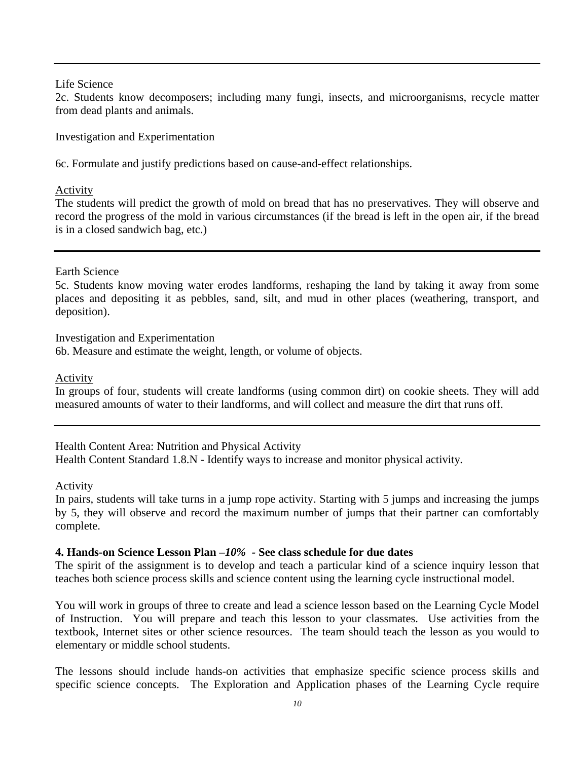#### Life Science

2c. Students know decomposers; including many fungi, insects, and microorganisms, recycle matter from dead plants and animals.

Investigation and Experimentation

6c. Formulate and justify predictions based on cause-and-effect relationships.

#### Activity

The students will predict the growth of mold on bread that has no preservatives. They will observe and record the progress of the mold in various circumstances (if the bread is left in the open air, if the bread is in a closed sandwich bag, etc.)

### Earth Science

5c. Students know moving water erodes landforms, reshaping the land by taking it away from some places and depositing it as pebbles, sand, silt, and mud in other places (weathering, transport, and deposition).

Investigation and Experimentation 6b. Measure and estimate the weight, length, or volume of objects.

Activity

In groups of four, students will create landforms (using common dirt) on cookie sheets. They will add measured amounts of water to their landforms, and will collect and measure the dirt that runs off.

Health Content Area: Nutrition and Physical Activity Health Content Standard 1.8.N - Identify ways to increase and monitor physical activity*.* 

#### Activity

In pairs, students will take turns in a jump rope activity. Starting with 5 jumps and increasing the jumps by 5, they will observe and record the maximum number of jumps that their partner can comfortably complete.

#### **4. Hands-on Science Lesson Plan –***10% -* **See class schedule for due dates**

The spirit of the assignment is to develop and teach a particular kind of a science inquiry lesson that teaches both science process skills and science content using the learning cycle instructional model.

You will work in groups of three to create and lead a science lesson based on the Learning Cycle Model of Instruction. You will prepare and teach this lesson to your classmates. Use activities from the textbook, Internet sites or other science resources. The team should teach the lesson as you would to elementary or middle school students.

The lessons should include hands-on activities that emphasize specific science process skills and specific science concepts. The Exploration and Application phases of the Learning Cycle require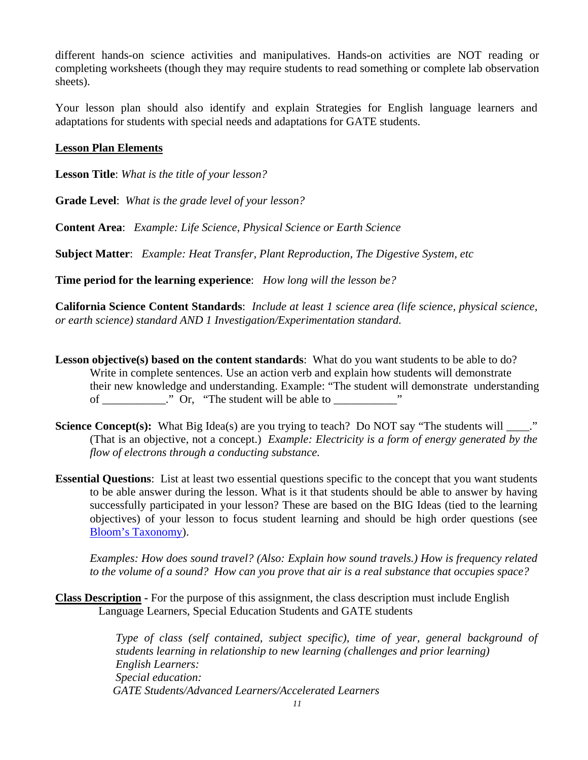different hands-on science activities and manipulatives. Hands-on activities are NOT reading or completing worksheets (though they may require students to read something or complete lab observation sheets).

Your lesson plan should also identify and explain Strategies for English language learners and adaptations for students with special needs and adaptations for GATE students.

#### **Lesson Plan Elements**

**Lesson Title**: *What is the title of your lesson?* 

**Grade Level**: *What is the grade level of your lesson?* 

**Content Area**: *Example: Life Science, Physical Science or Earth Science* 

**Subject Matter**: *Example: Heat Transfer, Plant Reproduction, The Digestive System, etc* 

**Time period for the learning experience**: *How long will the lesson be?* 

**California Science Content Standards**: *Include at least 1 science area (life science, physical science, or earth science) standard AND 1 Investigation/Experimentation standard.* 

- **Lesson objective(s) based on the content standards**: What do you want students to be able to do? Write in complete sentences. Use an action verb and explain how students will demonstrate their new knowledge and understanding. Example: "The student will demonstrate understanding of \_\_\_\_\_\_\_\_\_\_." Or, "The student will be able to \_\_\_\_\_\_\_\_\_\_\_\_\_"
- **Science Concept(s):** What Big Idea(s) are you trying to teach? Do NOT say "The students will \_\_\_\_." (That is an objective, not a concept.) *Example: Electricity is a form of energy generated by the flow of electrons through a conducting substance.*
- **Essential Questions**: List at least two essential questions specific to the concept that you want students to be able answer during the lesson. What is it that students should be able to answer by having successfully participated in your lesson? These are based on the BIG Ideas (tied to the learning objectives) of your lesson to focus student learning and should be high order questions (see Bloom's Taxonomy).

*Examples: How does sound travel? (Also: Explain how sound travels.) How is frequency related to the volume of a sound? How can you prove that air is a real substance that occupies space?* 

**Class Description -** For the purpose of this assignment, the class description must include English Language Learners, Special Education Students and GATE students

> *students learning in relationship to new learning (challenges and prior learning) Type of class (self contained, subject specific), time of year, general background of English Learners: Special education: GATE Students/Advanced Learners/Accelerated Learners*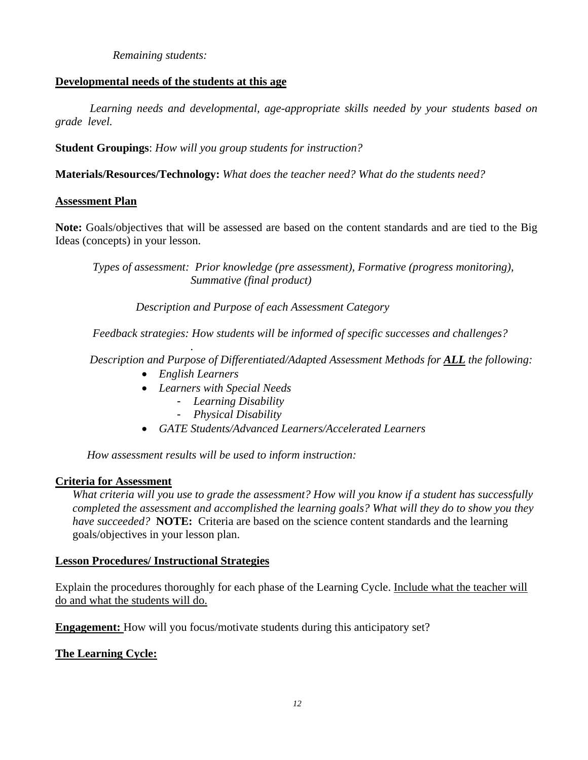## *Remaining students:*

### **Developmental needs of the students at this age**

*Learning needs and developmental, age-appropriate skills needed by your students based on grade level.* 

**Student Groupings**: *How will you group students for instruction?* 

**Materials/Resources/Technology:** *What does the teacher need? What do the students need?* 

#### **Assessment Plan**

**Note:** Goals/objectives that will be assessed are based on the content standards and are tied to the Big Ideas (concepts) in your lesson.

*Types of assessment: Prior knowledge (pre assessment), Formative (progress monitoring), Summative (final product)* 

 *Description and Purpose of each Assessment Category* 

 *Feedback strategies: How students will be informed of specific successes and challenges?* 

 *Description and Purpose of Differentiated/Adapted Assessment Methods for ALL the following:* 

*English Learners* 

*.* 

- *Learners with Special Needs* 
	- *Learning Disability*
	- *Physical Disability*
- *GATE Students/Advanced Learners/Accelerated Learners*

 *How assessment results will be used to inform instruction:* 

#### **Criteria for Assessment**

 *have succeeded?* **NOTE:** Criteria are based on the science content standards and the learning *What criteria will you use to grade the assessment? How will you know if a student has successfully completed the assessment and accomplished the learning goals? What will they do to show you they*  goals/objectives in your lesson plan.

#### **Lesson Procedures/ Instructional Strategies**

 do and what the students will do. Explain the procedures thoroughly for each phase of the Learning Cycle. Include what the teacher will

**Engagement:** How will you focus/motivate students during this anticipatory set?

#### **The Learning Cycle:**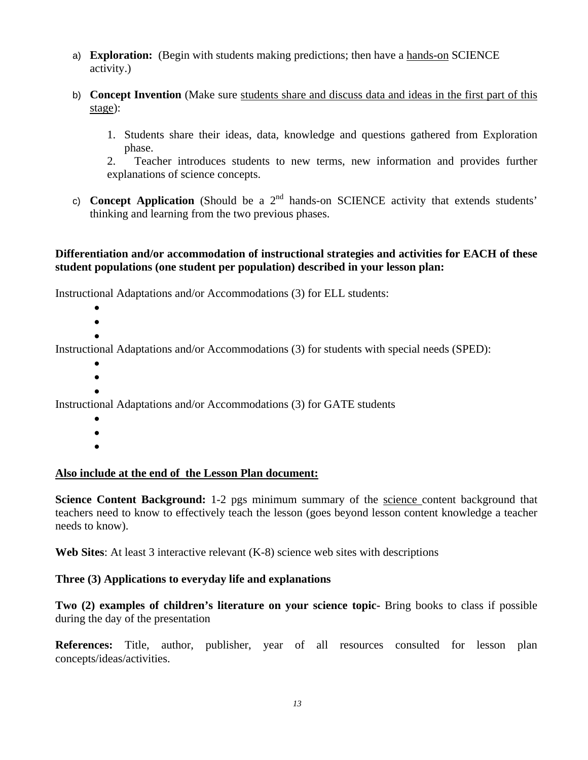- a) **Exploration:** (Begin with students making predictions; then have a hands-on SCIENCE activity.)
- b) **Concept Invention** (Make sure students share and discuss data and ideas in the first part of this stage):
	- 1. Students share their ideas, data, knowledge and questions gathered from Exploration phase.

2. Teacher introduces students to new terms, new information and provides further explanations of science concepts.

c) **Concept Application** (Should be a  $2<sup>nd</sup>$  hands-on SCIENCE activity that extends students' thinking and learning from the two previous phases.

### **Differentiation and/or accommodation of instructional strategies and activities for EACH of these student populations (one student per population) described in your lesson plan:**

Instructional Adaptations and/or Accommodations (3) for ELL students:

- $\bullet$  $\bullet$
- $\bullet$
- Instructional Adaptations and/or Accommodations (3) for students with special needs (SPED):
	- $\bullet$
	- $\bullet$  $\bullet$

Instructional Adaptations and/or Accommodations (3) for GATE students

- $\bullet$
- $\bullet$
- $\bullet$

#### **Also include at the end of the Lesson Plan document:**

**Science Content Background:** 1-2 pgs minimum summary of the science content background that teachers need to know to effectively teach the lesson (goes beyond lesson content knowledge a teacher needs to know).

**Web Sites**: At least 3 interactive relevant (K-8) science web sites with descriptions

#### Three (3) Applications to everyday life and explanations

**Two (2) examples of children's literature on your science topic-** Bring books to class if possible during the day of the presentation

**References:** Title, author, publisher, year of all resources consulted for lesson plan concepts/ideas/activities.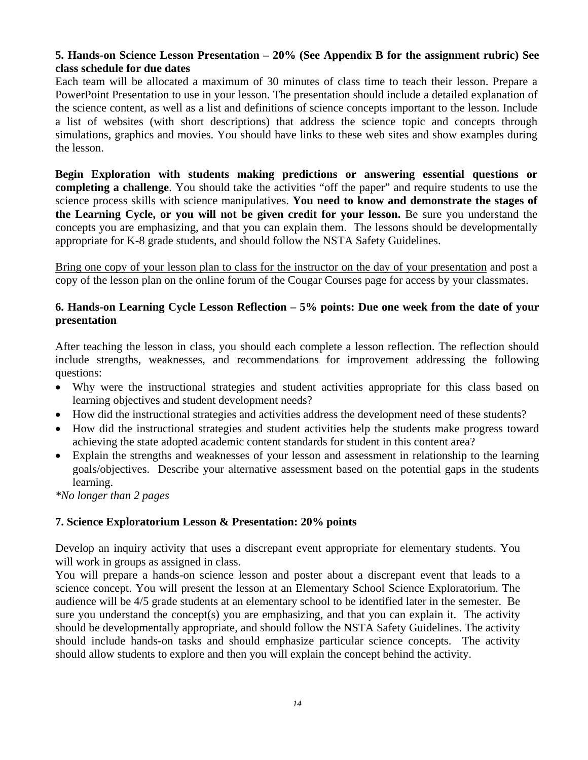## **5. Hands-on Science Lesson Presentation – 20% (See Appendix B for the assignment rubric) See class schedule for due dates**

Each team will be allocated a maximum of 30 minutes of class time to teach their lesson. Prepare a PowerPoint Presentation to use in your lesson. The presentation should include a detailed explanation of the science content, as well as a list and definitions of science concepts important to the lesson. Include a list of websites (with short descriptions) that address the science topic and concepts through simulations, graphics and movies. You should have links to these web sites and show examples during the lesson.

**Begin Exploration with students making predictions or answering essential questions or completing a challenge**. You should take the activities "off the paper" and require students to use the science process skills with science manipulatives. **You need to know and demonstrate the stages of the Learning Cycle, or you will not be given credit for your lesson.** Be sure you understand the concepts you are emphasizing, and that you can explain them. The lessons should be developmentally appropriate for K-8 grade students, and should follow the NSTA Safety Guidelines.

Bring one copy of your lesson plan to class for the instructor on the day of your presentation and post a copy of the lesson plan on the online forum of the Cougar Courses page for access by your classmates.

### **6. Hands-on Learning Cycle Lesson Reflection – 5% points: Due one week from the date of your presentation**

After teaching the lesson in class, you should each complete a lesson reflection. The reflection should include strengths, weaknesses, and recommendations for improvement addressing the following questions:

- Why were the instructional strategies and student activities appropriate for this class based on learning objectives and student development needs?
- How did the instructional strategies and activities address the development need of these students?
- How did the instructional strategies and student activities help the students make progress toward achieving the state adopted academic content standards for student in this content area?
- Explain the strengths and weaknesses of your lesson and assessment in relationship to the learning goals/objectives. Describe your alternative assessment based on the potential gaps in the students learning.

*\*No longer than 2 pages* 

## **7. Science Exploratorium Lesson & Presentation: 20% points**

Develop an inquiry activity that uses a discrepant event appropriate for elementary students. You will work in groups as assigned in class.

You will prepare a hands-on science lesson and poster about a discrepant event that leads to a science concept. You will present the lesson at an Elementary School Science Exploratorium. The audience will be 4/5 grade students at an elementary school to be identified later in the semester. Be sure you understand the concept(s) you are emphasizing, and that you can explain it. The activity should be developmentally appropriate, and should follow the NSTA Safety Guidelines. The activity should include hands-on tasks and should emphasize particular science concepts. The activity should allow students to explore and then you will explain the concept behind the activity.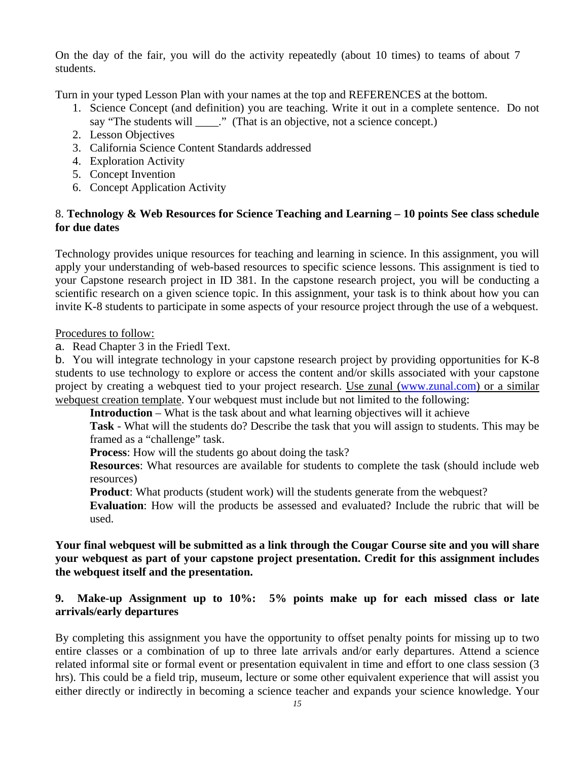On the day of the fair, you will do the activity repeatedly (about 10 times) to teams of about 7 students.

Turn in your typed Lesson Plan with your names at the top and REFERENCES at the bottom.

- 1. Science Concept (and definition) you are teaching. Write it out in a complete sentence. Do not say "The students will \_\_\_\_." (That is an objective, not a science concept.)
- 2. Lesson Objectives
- 3. California Science Content Standards addressed
- 4. Exploration Activity
- 5. Concept Invention
- 6. Concept Application Activity

## 8. **Technology & Web Resources for Science Teaching and Learning – 10 points See class schedule for due dates**

Technology provides unique resources for teaching and learning in science. In this assignment, you will apply your understanding of web-based resources to specific science lessons. This assignment is tied to your Capstone research project in ID 381. In the capstone research project, you will be conducting a scientific research on a given science topic. In this assignment, your task is to think about how you can invite K-8 students to participate in some aspects of your resource project through the use of a webquest.

#### Procedures to follow:

a. Read Chapter 3 in the Friedl Text.

b. You will integrate technology in your capstone research project by providing opportunities for K-8 students to use technology to explore or access the content and/or skills associated with your capstone project by creating a webquest tied to your project research. Use zunal (www.zunal.com) or a similar webquest creation template. Your webquest must include but not limited to the following:

**Introduction** – What is the task about and what learning objectives will it achieve

**Task** - What will the students do? Describe the task that you will assign to students. This may be framed as a "challenge" task.

**Process**: How will the students go about doing the task?

**Resources**: What resources are available for students to complete the task (should include web resources)

**Product:** What products (student work) will the students generate from the webquest?

**Evaluation**: How will the products be assessed and evaluated? Include the rubric that will be used.

## **Your final webquest will be submitted as a link through the Cougar Course site and you will share your webquest as part of your capstone project presentation. Credit for this assignment includes the webquest itself and the presentation.**

### **9. Make-up Assignment up to 10%: 5% points make up for each missed class or late arrivals/early departures**

By completing this assignment you have the opportunity to offset penalty points for missing up to two entire classes or a combination of up to three late arrivals and/or early departures. Attend a science related informal site or formal event or presentation equivalent in time and effort to one class session (3 hrs). This could be a field trip, museum, lecture or some other equivalent experience that will assist you either directly or indirectly in becoming a science teacher and expands your science knowledge. Your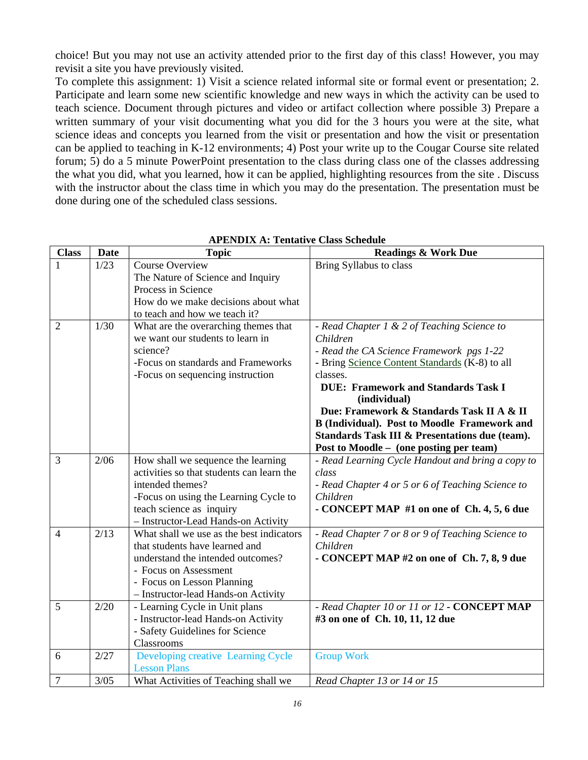choice! But you may not use an activity attended prior to the first day of this class! However, you may revisit a site you have previously visited.

To complete this assignment: 1) Visit a science related informal site or formal event or presentation; 2. Participate and learn some new scientific knowledge and new ways in which the activity can be used to teach science. Document through pictures and video or artifact collection where possible 3) Prepare a written summary of your visit documenting what you did for the 3 hours you were at the site, what science ideas and concepts you learned from the visit or presentation and how the visit or presentation can be applied to teaching in K-12 environments; 4) Post your write up to the Cougar Course site related forum; 5) do a 5 minute PowerPoint presentation to the class during class one of the classes addressing the what you did, what you learned, how it can be applied, highlighting resources from the site . Discuss with the instructor about the class time in which you may do the presentation. The presentation must be done during one of the scheduled class sessions.

| <b>Class</b>   | <b>Date</b> | <b>Topic</b>                              | <b>Readings &amp; Work Due</b>                             |  |  |
|----------------|-------------|-------------------------------------------|------------------------------------------------------------|--|--|
|                | 1/23        | Course Overview                           | Bring Syllabus to class                                    |  |  |
|                |             | The Nature of Science and Inquiry         |                                                            |  |  |
|                |             | Process in Science                        |                                                            |  |  |
|                |             | How do we make decisions about what       |                                                            |  |  |
|                |             | to teach and how we teach it?             |                                                            |  |  |
| $\overline{2}$ | 1/30        | What are the overarching themes that      | - Read Chapter 1 & 2 of Teaching Science to                |  |  |
|                |             | we want our students to learn in          | Children                                                   |  |  |
|                |             | science?                                  | - Read the CA Science Framework pgs 1-22                   |  |  |
|                |             | -Focus on standards and Frameworks        | - Bring Science Content Standards (K-8) to all             |  |  |
|                |             | -Focus on sequencing instruction          | classes.                                                   |  |  |
|                |             |                                           | <b>DUE: Framework and Standards Task I</b><br>(individual) |  |  |
|                |             |                                           | Due: Framework & Standards Task II A & II                  |  |  |
|                |             |                                           | <b>B</b> (Individual). Post to Moodle Framework and        |  |  |
|                |             |                                           | Standards Task III & Presentations due (team).             |  |  |
|                |             |                                           | Post to Moodle - (one posting per team)                    |  |  |
| 3              | 2/06        | How shall we sequence the learning        | - Read Learning Cycle Handout and bring a copy to          |  |  |
|                |             | activities so that students can learn the | class                                                      |  |  |
|                |             | intended themes?                          | - Read Chapter 4 or 5 or 6 of Teaching Science to          |  |  |
|                |             | -Focus on using the Learning Cycle to     | Children                                                   |  |  |
|                |             | teach science as inquiry                  | - CONCEPT MAP #1 on one of Ch. 4, 5, 6 due                 |  |  |
|                |             | - Instructor-Lead Hands-on Activity       |                                                            |  |  |
| $\overline{4}$ | 2/13        | What shall we use as the best indicators  | - Read Chapter 7 or 8 or 9 of Teaching Science to          |  |  |
|                |             | that students have learned and            | Children                                                   |  |  |
|                |             | understand the intended outcomes?         | - CONCEPT MAP #2 on one of Ch. 7, 8, 9 due                 |  |  |
|                |             | - Focus on Assessment                     |                                                            |  |  |
|                |             | - Focus on Lesson Planning                |                                                            |  |  |
|                |             | - Instructor-lead Hands-on Activity       |                                                            |  |  |
| 5              | 2/20        | - Learning Cycle in Unit plans            | - Read Chapter 10 or 11 or 12 - CONCEPT MAP                |  |  |
|                |             | - Instructor-lead Hands-on Activity       | #3 on one of Ch. 10, 11, 12 due                            |  |  |
|                |             | - Safety Guidelines for Science           |                                                            |  |  |
|                |             | Classrooms                                |                                                            |  |  |
| 6              | 2/27        | Developing creative Learning Cycle        | <b>Group Work</b>                                          |  |  |
|                |             | <b>Lesson Plans</b>                       |                                                            |  |  |
| $\overline{7}$ | 3/05        | What Activities of Teaching shall we      | Read Chapter 13 or 14 or 15                                |  |  |
| 16             |             |                                           |                                                            |  |  |

**APENDIX A: Tentative Class Schedule**